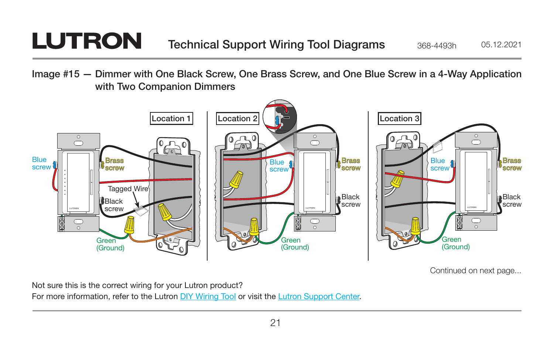## **LUTRON**

Image #15 — Dimmer with One Black Screw, One Brass Screw, and One Blue Screw in a 4-Way Application with Two Companion Dimmers



Continued on next page...

Not sure this is the correct wiring for your Lutron product?

For more information, refer to the Lutron [DIY Wiring Tool](http://www.lutron.com/wiringtool) or visit the [Lutron Support Center.](http://www.lutron.com/en-US/pages/SupportCenter/support.aspx)